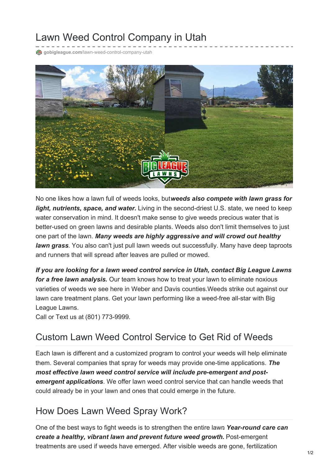## Lawn Weed Control Company in Utah

**@** gobigleague.com[/lawn-weed-control-company-utah](https://gobigleague.com/lawn-weed-control-company-utah/)



No one likes how a lawn full of weeds looks, but*weeds also compete with lawn grass for light, nutrients, space, and water.* Living in the second-driest U.S. state, we need to keep water conservation in mind. It doesn't make sense to give weeds precious water that is better-used on green lawns and desirable plants. Weeds also don't limit themselves to just one part of the lawn. *Many weeds are highly aggressive and will crowd out healthy lawn grass*. You also can't just pull lawn weeds out successfully. Many have deep taproots and runners that will spread after leaves are pulled or mowed.

*If you are looking for a lawn weed control service in Utah, contact Big League Lawns for a free lawn analysis.* Our team knows how to treat your lawn to eliminate noxious varieties of weeds we see here in Weber and Davis counties.Weeds strike out against our lawn care treatment plans. Get your lawn performing like a weed-free all-star with Big League Lawns.

Call or Text us at (801) 773-9999.

## Custom Lawn Weed Control Service to Get Rid of Weeds

Each lawn is different and a customized program to control your weeds will help eliminate them. Several companies that spray for weeds may provide one-time applications. *The most effective lawn weed control service will include pre-emergent and postemergent applications*. We offer lawn weed control service that can handle weeds that could already be in your lawn and ones that could emerge in the future.

## How Does Lawn Weed Spray Work?

One of the best ways to fight weeds is to strengthen the entire lawn*. Year-round care can create a healthy, vibrant lawn and prevent future weed growth.* Post-emergent treatments are used if weeds have emerged. After visible weeds are gone, fertilization